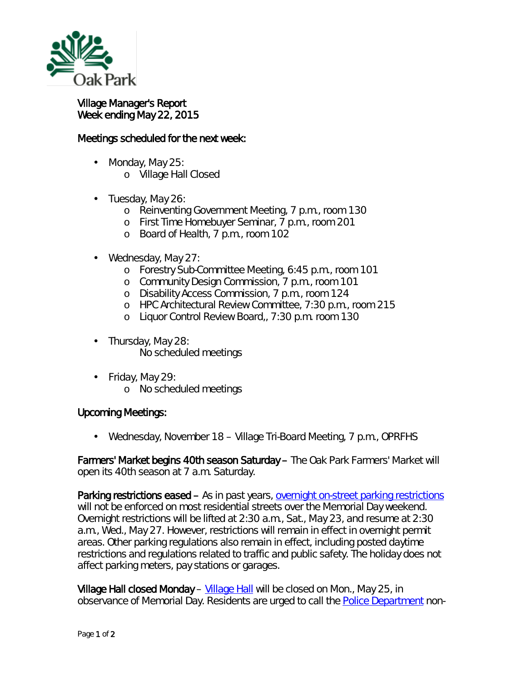

## Village Manager's Report Week ending May 22, 2015

## Meetings scheduled for the next week:

- Monday, May 25:
	- o Village Hall Closed
- Tuesday, May 26: L.
	- o Reinventing Government Meeting, 7 p.m., room 130
	- o First Time Homebuyer Seminar, 7 p.m., room 201
	- o Board of Health, 7 p.m., room 102
- Wednesday, May 27: ä,
	- o Forestry Sub-Committee Meeting, 6:45 p.m., room 101
	- o Community Design Commission, 7 p.m., room 101
	- o Disability Access Commission, 7 p.m., room 124
	- o HPC Architectural Review Committee, 7:30 p.m., room 215
	- o Liquor Control Review Board,, 7:30 p.m. room 130
- . Thursday, May 28:
	- No scheduled meetings
- $\mathbf{r}^{\prime}$ Friday, May 29:
	- o No scheduled meetings

## Upcoming Meetings:

Wednesday, November 18 – Village Tri-Board Meeting, 7 p.m., OPRFHS

Farmers' Market begins 40th season Saturday – The Oak Park Farmers' Market will open its 40th season at 7 a.m. Saturday.

Parking restrictions eased - As in past years, [overnight on-street parking restrictions](http://r20.rs6.net/tn.jsp?f=001zQefhZs4FKZ_GYx8lIUM1r_hJR8_2hUNSR7ZyJRH0OBNQsEjtJg56OkoMJfH5l1fG_yCv5Uu2kxSCpXwKvV0oDhn4IPun7Um7UD2Krz3GfbOBt-l4sAmF2r5IvO9_mA56-nTAW-VK9qTOwB_mMeNqCodyIA72F-sHpYbWeO3jXAX-bhCNhwcK9W7XjM0WvKt-RN1FQFvY2zg-B-tBC40pEbcUjTE679kr5woBEpGW7TtpMzsf1MKQn5iwBR-IPvJdoIn27C9ntlrg5xrPdyDsGds74T3Krv4onrP4wEZoaArZiE4k1KuZRGEM-y37x6Y9PLUQ4kA4ycJ6ocfFRUrUVIdCUF5QwPfbmlCoY4LZqY=&c=r16L53ID-j2DxOGNnjsPp9XdXeamNqc9-KMoj_Qf3OJpbTff_aBkWw==&ch=KQia_Xh205GPcI-hK8puQppRfRP2zvcpw6NdpHgy2GVqre8gQPhBpg==) will not be enforced on most residential streets over the Memorial Day weekend. Overnight restrictions will be lifted at 2:30 a.m., Sat., May 23, and resume at 2:30 a.m., Wed., May 27. However, restrictions will remain in effect in overnight permit areas. Other parking regulations also remain in effect, including posted daytime restrictions and regulations related to traffic and public safety. The holiday does not affect parking meters, pay stations or garages.

Village Hall closed Monday – [Village Hall](http://r20.rs6.net/tn.jsp?f=001zQefhZs4FKZ_GYx8lIUM1r_hJR8_2hUNSR7ZyJRH0OBNQsEjtJg56PAfBsOzKceFvqWlaZufdLeFbDkRBPO2cwu8JdJh0jPiWl3wzsSuHXZWgDGvXq4YR0nGflWzZZdVsKto7XSJEjV6tYvASHKeeFZ94Ioa_6ke39l-Zt5S9Y8Wu-FYdT9EFUhmsIZokCai5ooIlh4b8LEOl3oaw3xYFBaYM26LjkMwGz9NXEoOFOMOlqd4zYu-8kEY6YV26uHfgOpsjbRw6rBNxTtlhnoVdkf8ulyXHWCeFXsPPbsH5vF9w7uNGRbFvt35M-ARJb2hScSOjmIZM2-DwjL5MxnD8A==&c=r16L53ID-j2DxOGNnjsPp9XdXeamNqc9-KMoj_Qf3OJpbTff_aBkWw==&ch=KQia_Xh205GPcI-hK8puQppRfRP2zvcpw6NdpHgy2GVqre8gQPhBpg==) will be closed on Mon., May 25, in observance of Memorial Day. Residents are urged to call the **Police Department** non